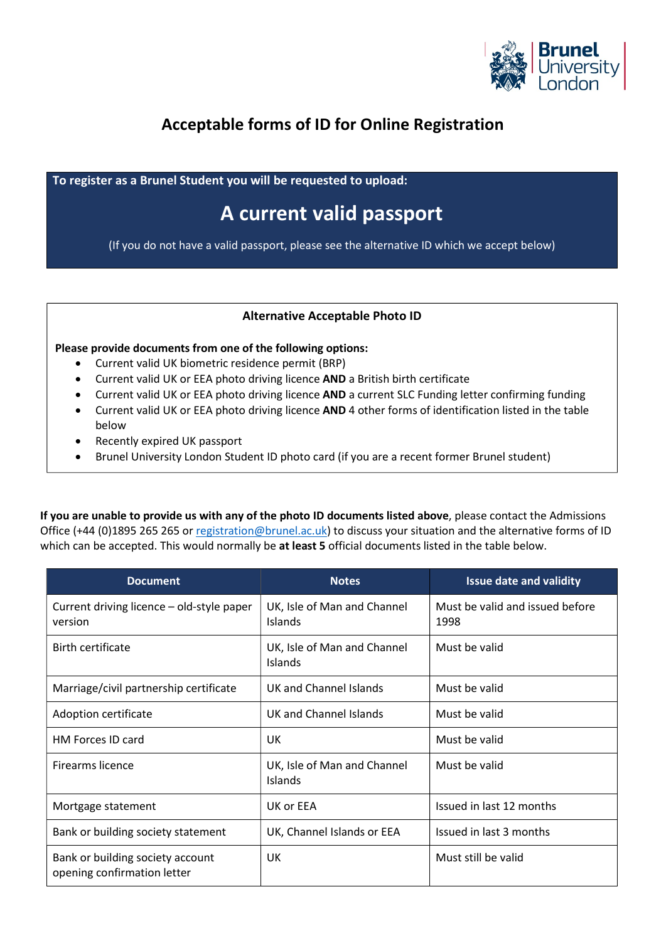

## Acceptable forms of ID for Online Registration

To register as a Brunel Student you will be requested to upload:

## A current valid passport

(If you do not have a valid passport, please see the alternative ID which we accept below)

## Alternative Acceptable Photo ID

Please provide documents from one of the following options:

- Current valid UK biometric residence permit (BRP)
- Current valid UK or EEA photo driving licence AND a British birth certificate
- Current valid UK or EEA photo driving licence AND a current SLC Funding letter confirming funding
- Current valid UK or EEA photo driving licence AND 4 other forms of identification listed in the table below
- Recently expired UK passport
- Brunel University London Student ID photo card (if you are a recent former Brunel student)

If you are unable to provide us with any of the photo ID documents listed above, please contact the Admissions Office (+44 (0)1895 265 265 or registration@brunel.ac.uk) to discuss your situation and the alternative forms of ID which can be accepted. This would normally be at least 5 official documents listed in the table below.

| <b>Document</b>                                                 | <b>Notes</b>                                  | <b>Issue date and validity</b>          |
|-----------------------------------------------------------------|-----------------------------------------------|-----------------------------------------|
| Current driving licence - old-style paper<br>version            | UK, Isle of Man and Channel<br>Islands        | Must be valid and issued before<br>1998 |
| Birth certificate                                               | UK, Isle of Man and Channel<br>Islands        | Must be valid                           |
| Marriage/civil partnership certificate                          | UK and Channel Islands                        | Must be valid                           |
| Adoption certificate                                            | UK and Channel Islands                        | Must be valid                           |
| HM Forces ID card                                               | <b>UK</b>                                     | Must be valid                           |
| <b>Firearms licence</b>                                         | UK, Isle of Man and Channel<br><b>Islands</b> | Must be valid                           |
| Mortgage statement                                              | UK or EEA                                     | Issued in last 12 months                |
| Bank or building society statement                              | UK, Channel Islands or EEA                    | Issued in last 3 months                 |
| Bank or building society account<br>opening confirmation letter | UK                                            | Must still be valid                     |